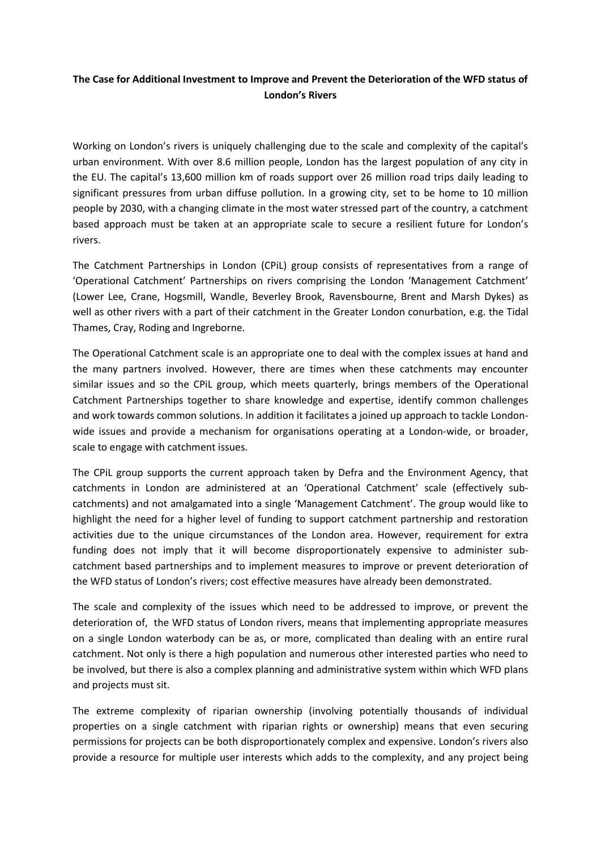## **The Case for Additional Investment to Improve and Prevent the Deterioration of the WFD status of London's Rivers**

Working on London's rivers is uniquely challenging due to the scale and complexity of the capital's urban environment. With over 8.6 million people, London has the largest population of any city in the EU. The capital's 13,600 million km of roads support over 26 million road trips daily leading to significant pressures from urban diffuse pollution. In a growing city, set to be home to 10 million people by 2030, with a changing climate in the most water stressed part of the country, a catchment based approach must be taken at an appropriate scale to secure a resilient future for London's rivers.

The Catchment Partnerships in London (CPiL) group consists of representatives from a range of 'Operational Catchment' Partnerships on rivers comprising the London 'Management Catchment' (Lower Lee, Crane, Hogsmill, Wandle, Beverley Brook, Ravensbourne, Brent and Marsh Dykes) as well as other rivers with a part of their catchment in the Greater London conurbation, e.g. the Tidal Thames, Cray, Roding and Ingreborne.

The Operational Catchment scale is an appropriate one to deal with the complex issues at hand and the many partners involved. However, there are times when these catchments may encounter similar issues and so the CPiL group, which meets quarterly, brings members of the Operational Catchment Partnerships together to share knowledge and expertise, identify common challenges and work towards common solutions. In addition it facilitates a joined up approach to tackle Londonwide issues and provide a mechanism for organisations operating at a London-wide, or broader, scale to engage with catchment issues.

The CPiL group supports the current approach taken by Defra and the Environment Agency, that catchments in London are administered at an 'Operational Catchment' scale (effectively subcatchments) and not amalgamated into a single 'Management Catchment'. The group would like to highlight the need for a higher level of funding to support catchment partnership and restoration activities due to the unique circumstances of the London area. However, requirement for extra funding does not imply that it will become disproportionately expensive to administer subcatchment based partnerships and to implement measures to improve or prevent deterioration of the WFD status of London's rivers; cost effective measures have already been demonstrated.

The scale and complexity of the issues which need to be addressed to improve, or prevent the deterioration of, the WFD status of London rivers, means that implementing appropriate measures on a single London waterbody can be as, or more, complicated than dealing with an entire rural catchment. Not only is there a high population and numerous other interested parties who need to be involved, but there is also a complex planning and administrative system within which WFD plans and projects must sit.

The extreme complexity of riparian ownership (involving potentially thousands of individual properties on a single catchment with riparian rights or ownership) means that even securing permissions for projects can be both disproportionately complex and expensive. London's rivers also provide a resource for multiple user interests which adds to the complexity, and any project being